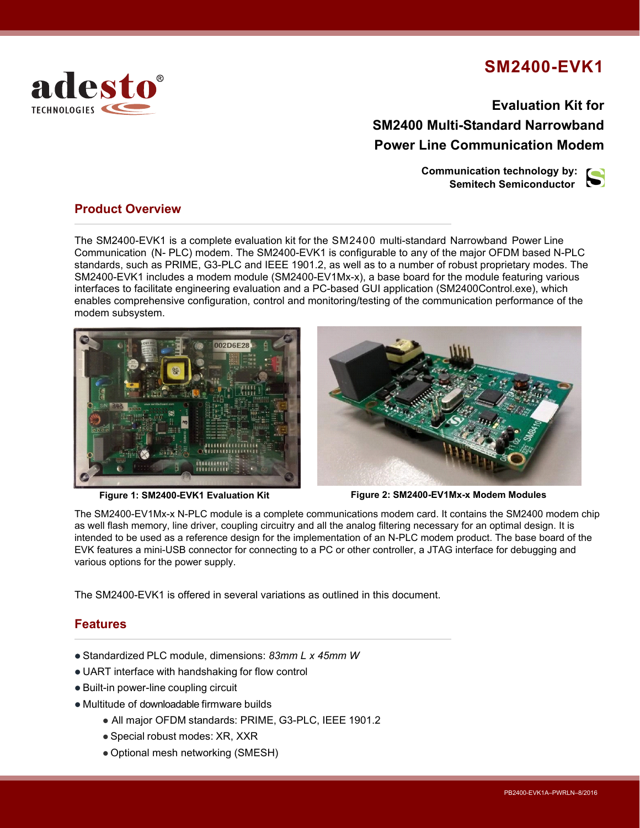## **SM2400-EVK1**

**Evaluation Kit for SM2400 Multi-Standard Narrowband Power Line Communication Modem**

> **Communication technology by: Semitech Semiconductor**



#### **Product Overview**

adesto®

TECHNOLOGIES

The SM2400-EVK1 is a complete evaluation kit for the SM2400 multi-standard Narrowband Power Line Communication (N- PLC) modem. The SM2400-EVK1 is configurable to any of the major OFDM based N-PLC standards, such as PRIME, G3-PLC and IEEE 1901.2, as well as to a number of robust proprietary modes. The SM2400-EVK1 includes a modem module (SM2400-EV1Mx-x), a base board for the module featuring various interfaces to facilitate engineering evaluation and a PC-based GUI application (SM2400Control.exe), which enables comprehensive configuration, control and monitoring/testing of the communication performance of the modem subsystem.





**Figure 1: SM2400-EVK1 Evaluation Kit Figure 2: SM2400-EV1Mx-x Modem Modules**

The SM2400-EV1Mx-x N-PLC module is a complete communications modem card. It contains the SM2400 modem chip as well flash memory, line driver, coupling circuitry and all the analog filtering necessary for an optimal design. It is intended to be used as a reference design for the implementation of an N-PLC modem product. The base board of the EVK features a mini-USB connector for connecting to a PC or other controller, a JTAG interface for debugging and various options for the power supply.

The SM2400-EVK1 is offered in several variations as outlined in this document.

#### **Features**

- Standardized PLC module, dimensions: *83mm L x 45mm W*
- UART interface with handshaking for flow control
- Built-in power-line coupling circuit
- Multitude of downloadable firmware builds
	- All major OFDM standards: PRIME, G3-PLC, IEEE 1901.2
	- Special robust modes: XR, XXR
	- Optional mesh networking (SMESH)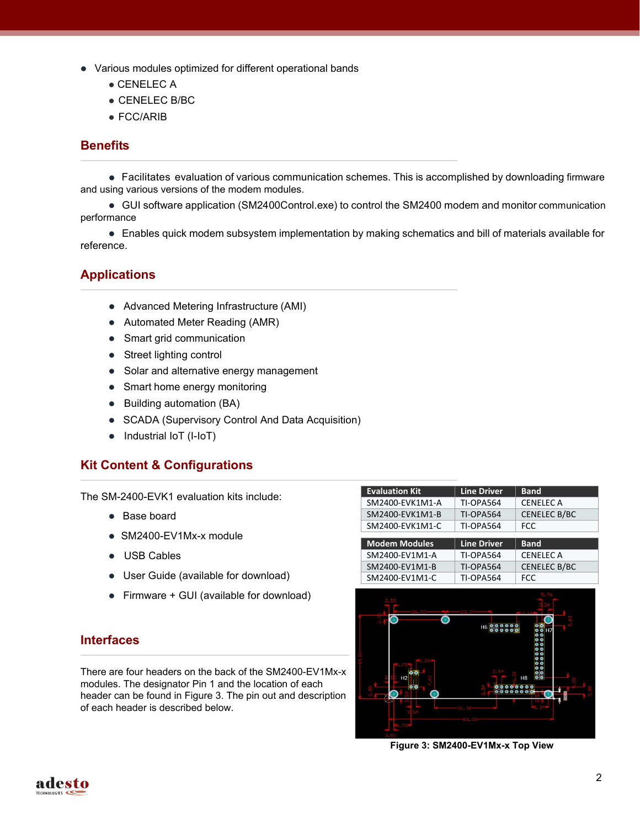- Various modules optimized for different operational bands
	- CENELEC A
	- CENELEC B/BC
	- FCC/ARIB

#### **Benefits**

 Facilitates evaluation of various communication schemes. This is accomplished by downloading firmware and using various versions of the modem modules.

 GUI software application (SM2400Control.exe) to control the SM2400 modem and monitor communication performance

 Enables quick modem subsystem implementation by making schematics and bill of materials available for reference.

## **Applications**

- Advanced Metering Infrastructure (AMI)
- Automated Meter Reading (AMR)
- Smart grid communication
- Street lighting control
- Solar and alternative energy management
- Smart home energy monitoring
- Building automation (BA)
- SCADA (Supervisory Control And Data Acquisition)
- Industrial IoT (I-IoT)

#### **Kit Content & Configurations**

The SM-2400-EVK1 evaluation kits include:

- Base board
- SM2400-EV1Mx-x module
- USB Cables
- User Guide (available for download)
- Firmware + GUI (available for download)

#### **Interfaces**

There are four headers on the back of the SM2400-EV1Mx-x modules. The designator Pin 1 and the location of each header can be found in Figure 3. The pin out and description of each header is described below.

| <b>Evaluation Kit</b> | <b>Line Driver</b> | <b>Band</b>         |
|-----------------------|--------------------|---------------------|
| SM2400-EVK1M1-A       | TI-OPA564          | <b>CENELEC A</b>    |
| SM2400-EVK1M1-B       | TI-OPA564          | <b>CENELEC B/BC</b> |
| SM2400-EVK1M1-C       | TI-OPA564          | <b>FCC</b>          |
|                       |                    |                     |
|                       |                    |                     |
| <b>Modem Modules</b>  | <b>Line Driver</b> | <b>Band</b>         |
| SM2400-EV1M1-A        | <b>TI-OPA564</b>   | <b>CENELEC A</b>    |
| SM2400-EV1M1-B        | TI-OPA564          | <b>CENELEC B/BC</b> |
| SM2400-EV1M1-C        | <b>TI-OPA564</b>   | <b>FCC</b>          |



**Figure 3: SM2400-EV1Mx-x Top View**

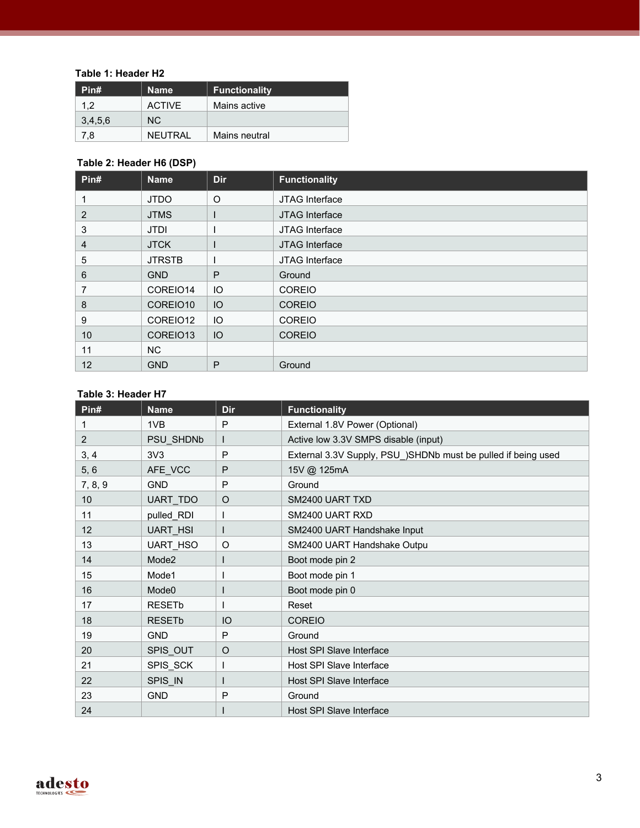#### **Table 1: Header H2**

| Pin#    | <b>Name</b>    | <b>Functionality</b> |
|---------|----------------|----------------------|
| 1.2     | <b>ACTIVE</b>  | Mains active         |
| 3,4,5,6 | NC.            |                      |
| 7.8     | <b>NEUTRAL</b> | Mains neutral        |

## **Table 2: Header H6 (DSP)**

| Pin# | <b>Name</b>   | <b>Dir</b> | <b>Functionality</b> |
|------|---------------|------------|----------------------|
|      | <b>JTDO</b>   | O          | JTAG Interface       |
| 2    | <b>JTMS</b>   |            | JTAG Interface       |
| 3    | <b>JTDI</b>   |            | JTAG Interface       |
| 4    | <b>JTCK</b>   |            | JTAG Interface       |
| 5    | <b>JTRSTB</b> |            | JTAG Interface       |
| 6    | <b>GND</b>    | P          | Ground               |
| 7    | COREIO14      | IO         | <b>COREIO</b>        |
| 8    | COREIO10      | IO         | <b>COREIO</b>        |
| 9    | COREIO12      | IO         | <b>COREIO</b>        |
| 10   | COREIO13      | IO         | <b>COREIO</b>        |
| 11   | NC            |            |                      |
| 12   | <b>GND</b>    | P          | Ground               |

#### **Table 3: Header H7**

| Pin#    | <b>Name</b>              | <b>Dir</b> | <b>Functionality</b>                                          |
|---------|--------------------------|------------|---------------------------------------------------------------|
|         | 1VB                      | P          | External 1.8V Power (Optional)                                |
| 2       | PSU SHDNb                |            | Active low 3.3V SMPS disable (input)                          |
| 3, 4    | 3V <sub>3</sub>          | P          | External 3.3V Supply, PSU_)SHDNb must be pulled if being used |
| 5, 6    | AFE VCC                  | P          | 15V @ 125mA                                                   |
| 7, 8, 9 | <b>GND</b>               | P          | Ground                                                        |
| 10      | UART TDO                 | O          | SM2400 UART TXD                                               |
| 11      | pulled_RDI               |            | SM2400 UART RXD                                               |
| 12      | <b>UART HSI</b>          |            | SM2400 UART Handshake Input                                   |
| 13      | <b>UART HSO</b>          | O          | SM2400 UART Handshake Outpu                                   |
| 14      | Mode <sub>2</sub>        |            | Boot mode pin 2                                               |
| 15      | Mode1                    |            | Boot mode pin 1                                               |
| 16      | Mode <sub>0</sub>        |            | Boot mode pin 0                                               |
| 17      | <b>RESETb</b>            |            | Reset                                                         |
| 18      | <b>RESET<sub>b</sub></b> | IO         | <b>COREIO</b>                                                 |
| 19      | <b>GND</b>               | P          | Ground                                                        |
| 20      | SPIS OUT                 | O          | Host SPI Slave Interface                                      |
| 21      | SPIS_SCK                 |            | Host SPI Slave Interface                                      |
| 22      | SPIS IN                  |            | Host SPI Slave Interface                                      |
| 23      | <b>GND</b>               | P          | Ground                                                        |
| 24      |                          |            | Host SPI Slave Interface                                      |

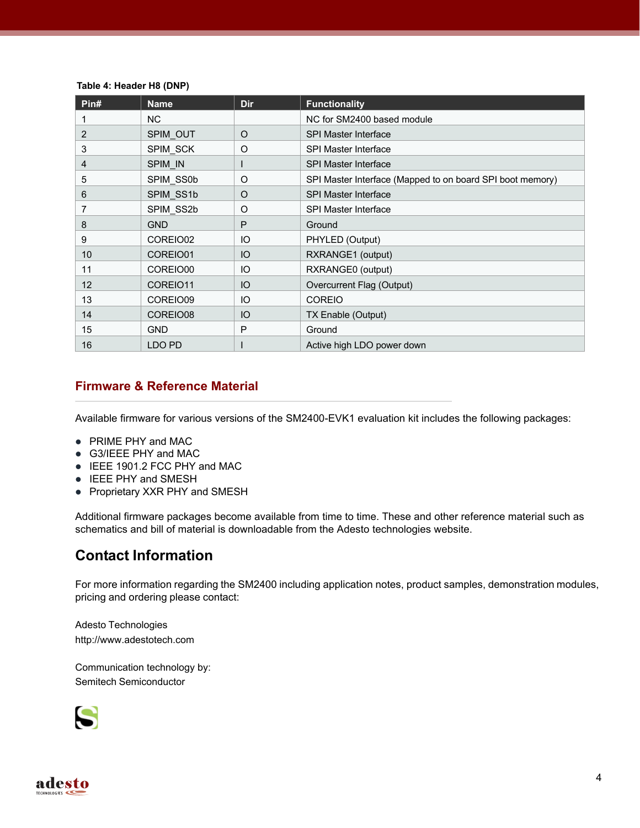#### **Table 4: Header H8 (DNP)**

| Pin# | <b>Name</b>    | Dir     | <b>Functionality</b>                                      |
|------|----------------|---------|-----------------------------------------------------------|
|      | N <sub>C</sub> |         | NC for SM2400 based module                                |
| 2    | SPIM OUT       | O       | <b>SPI Master Interface</b>                               |
| 3    | SPIM SCK       | O       | <b>SPI Master Interface</b>                               |
| 4    | SPIM IN        |         | <b>SPI Master Interface</b>                               |
| 5    | SPIM SS0b      | O       | SPI Master Interface (Mapped to on board SPI boot memory) |
| 6    | SPIM SS1b      | $\circ$ | <b>SPI Master Interface</b>                               |
| 7    | SPIM SS2b      | O       | <b>SPI Master Interface</b>                               |
| 8    | <b>GND</b>     | P       | Ground                                                    |
| 9    | COREIO02       | IO      | PHYLED (Output)                                           |
| 10   | COREIO01       | IO      | RXRANGE1 (output)                                         |
| 11   | COREIO00       | IO      | RXRANGE0 (output)                                         |
| 12   | COREIO11       | IO      | Overcurrent Flag (Output)                                 |
| 13   | COREIO09       | IO      | <b>COREIO</b>                                             |
| 14   | COREIO08       | IO      | TX Enable (Output)                                        |
| 15   | <b>GND</b>     | P       | Ground                                                    |
| 16   | LDO PD         |         | Active high LDO power down                                |

## **Firmware & Reference Material**

Available firmware for various versions of the SM2400-EVK1 evaluation kit includes the following packages:

- PRIME PHY and MAC
- G3/IEEE PHY and MAC
- IEEE 1901.2 FCC PHY and MAC
- IEEE PHY and SMESH
- Proprietary XXR PHY and SMESH

Additional firmware packages become available from time to time. These and other reference material such as schematics and bill of material is downloadable from the Adesto technologies website.

## **Contact Information**

For more information regarding the SM2400 including application notes, product samples, demonstration modules, pricing and ordering please contact:

Adesto Technologies [http://www.adestotech.com](http://www.adestotech.com/)

Communication technology by: Semitech Semiconductor

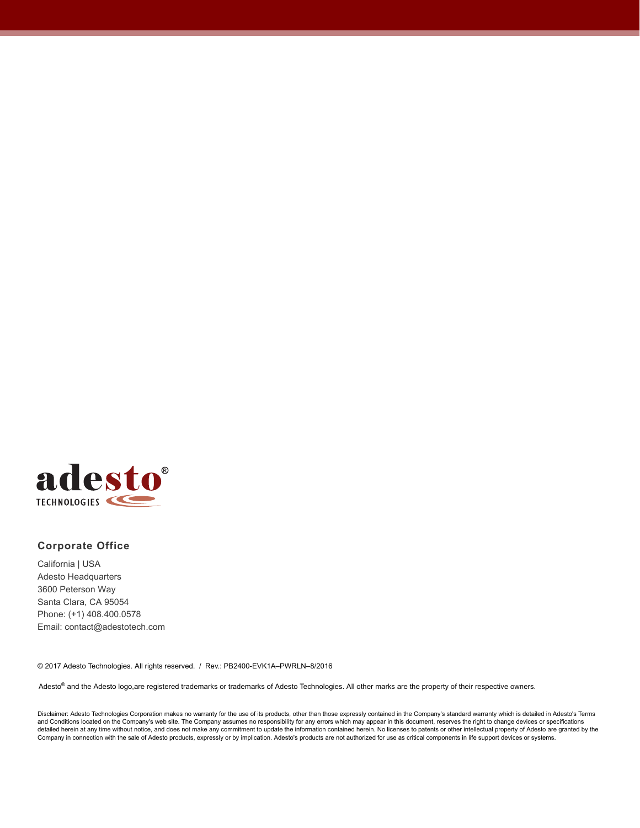

#### **Corporate Office**

California | USA Adesto Headquarters 3600 Peterson Way Santa Clara, CA 95054 Phone: (+1) 408.400.0578 Email: contact@adestotech.com

© 2017 Adesto Technologies. All rights reserved. / Rev.: PB2400-EVK1A–PWRLN–8/2016

Adesto® and the Adesto logo,are registered trademarks or trademarks of Adesto Technologies. All other marks are the property of their respective owners.

Disclaimer: Adesto Technologies Corporation makes no warranty for the use of its products, other than those expressly contained in the Company's standard warranty which is detailed in Adesto's Terms and Conditions located on the Company's web site. The Company assumes no responsibility for any errors which may appear in this document, reserves the right to change devices or specifications<br>detailed herein at any time w Company in connection with the sale of Adesto products, expressly or by implication. Adesto's products are not authorized for use as critical components in life support devices or systems.